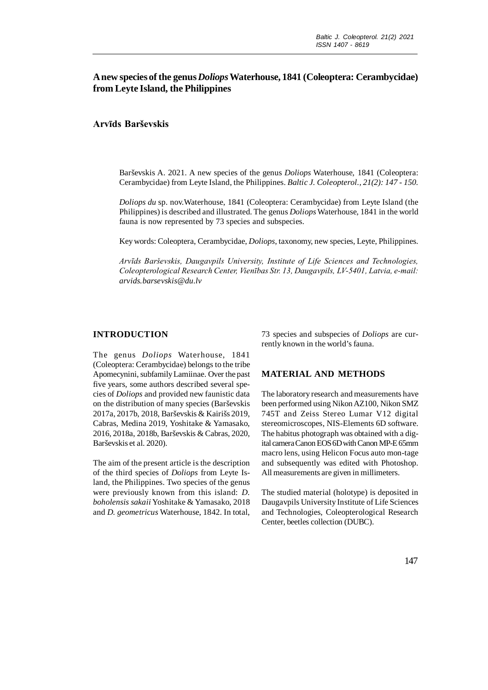# **A new species of the genus** *Doliops* **Waterhouse, 1841 (Coleoptera: Cerambycidae) from Leyte Island, the Philippines**

# **Arvīds Barševskis**

Barševskis A. 2021. A new species of the genus *Doliops* Waterhouse, 1841 (Coleoptera: Cerambycidae) from Leyte Island, the Philippines. *Baltic J. Coleopterol., 21(2): 147 - 150.*

*Doliops du* sp. nov.Waterhouse, 1841 (Coleoptera: Cerambycidae) from Leyte Island (the Philippines) is described and illustrated. The genus *Doliops* Waterhouse, 1841 in the world fauna is now represented by 73 species and subspecies.

Key words: Coleoptera, Cerambycidae, *Doliops*, taxonomy, new species, Leyte, Philippines.

*Arvīds Barševskis, Daugavpils University, Institute of Life Sciences and Technologies, Coleopterological Research Center, Vienības Str. 13, Daugavpils, LV-5401, Latvia, e-mail: arvids.barsevskis@du.lv*

### **INTRODUCTION**

The genus *Doliops* Waterhouse, 1841 (Coleoptera: Cerambycidae) belongs to the tribe Apomecynini, subfamily Lamiinae. Over the past five years, some authors described several species of *Doliops* and provided new faunistic data on the distribution of many species (Barševskis 2017a, 2017b, 2018, Barševskis & Kairišs 2019, Cabras, Medina 2019, Yoshitake & Yamasako, 2016, 2018a, 2018b, Barševskis & Cabras, 2020, Barševskis et al. 2020).

The aim of the present article is the description of the third species of *Doliops* from Leyte Island, the Philippines. Two species of the genus were previously known from this island: *D. boholensis sakaii* Yoshitake & Yamasako, 2018 and *D. geometricus* Waterhouse, 1842. In total,

73 species and subspecies of *Doliops* are currently known in the world's fauna.

#### **MATERIAL AND METHODS**

The laboratory research and measurements have been performed using Nikon AZ100, Nikon SMZ 745T and Zeiss Stereo Lumar V12 digital stereomicroscopes, NIS-Elements 6D software. The habitus photograph was obtained with a digital camera Canon EOS 6D with Canon MP-E 65mm macro lens, using Helicon Focus auto mon-tage and subsequently was edited with Photoshop. All measurements are given in millimeters.

The studied material (holotype) is deposited in Daugavpils University Institute of Life Sciences and Technologies, Coleopterological Research Center, beetles collection (DUBC).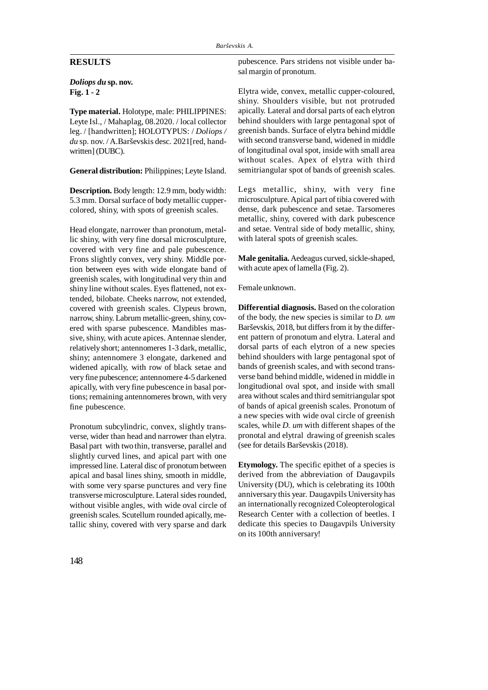### **RESULTS**

*Doliops du* **sp. nov. Fig. 1 - 2**

**Type material.** Holotype, male: PHILIPPINES: Leyte Isl., / Mahaplag, 08.2020. / local collector leg. / [handwritten]; HOLOTYPUS: / *Doliops / du* sp. nov. / A.Barševskis desc. 2021[red, handwritten] (DUBC).

**General distribution:** Philippines; Leyte Island.

**Description.** Body length: 12.9 mm, body width: 5.3 mm. Dorsal surface of body metallic cuppercolored, shiny, with spots of greenish scales.

Head elongate, narrower than pronotum, metallic shiny, with very fine dorsal microsculpture, covered with very fine and pale pubescence. Frons slightly convex, very shiny. Middle portion between eyes with wide elongate band of greenish scales, with longitudinal very thin and shiny line without scales. Eyes flattened, not extended, bilobate. Cheeks narrow, not extended, covered with greenish scales. Clypeus brown, narrow, shiny. Labrum metallic-green, shiny, covered with sparse pubescence. Mandibles massive, shiny, with acute apices. Antennae slender, relatively short; antennomeres 1-3 dark, metallic, shiny; antennomere 3 elongate, darkened and widened apically, with row of black setae and very fine pubescence; antennomere 4-5 darkened apically, with very fine pubescence in basal portions; remaining antennomeres brown, with very fine pubescence.

Pronotum subcylindric, convex, slightly transverse, wider than head and narrower than elytra. Basal part with two thin, transverse, parallel and slightly curved lines, and apical part with one impressed line. Lateral disc of pronotum between apical and basal lines shiny, smooth in middle, with some very sparse punctures and very fine transverse microsculpture. Lateral sides rounded, without visible angles, with wide oval circle of greenish scales. Scutellum rounded apically, metallic shiny, covered with very sparse and dark

pubescence. Pars stridens not visible under basal margin of pronotum.

Elytra wide, convex, metallic cupper-coloured, shiny. Shoulders visible, but not protruded apically. Lateral and dorsal parts of each elytron behind shoulders with large pentagonal spot of greenish bands. Surface of elytra behind middle with second transverse band, widened in middle of longitudinal oval spot, inside with small area without scales. Apex of elytra with third semitriangular spot of bands of greenish scales.

Legs metallic, shiny, with very fine microsculpture. Apical part of tibia covered with dense, dark pubescence and setae. Tarsomeres metallic, shiny, covered with dark pubescence and setae. Ventral side of body metallic, shiny, with lateral spots of greenish scales.

**Male genitalia.** Aedeagus curved, sickle-shaped, with acute apex of lamella (Fig. 2).

Female unknown.

**Differential diagnosis.** Based on the coloration of the body, the new species is similar to *D. um* Barševskis, 2018, but differs from it by the different pattern of pronotum and elytra. Lateral and dorsal parts of each elytron of a new species behind shoulders with large pentagonal spot of bands of greenish scales, and with second transverse band behind middle, widened in middle in longitudional oval spot, and inside with small area without scales and third semitriangular spot of bands of apical greenish scales. Pronotum of a new species with wide oval circle of greenish scales, while *D. um* with different shapes of the pronotal and elytral drawing of greenish scales (see for details Barševskis (2018).

**Etymology.** The specific epithet of a species is derived from the abbreviation of Daugavpils University (DU), which is celebrating its 100th anniversary this year. Daugavpils University has an internationally recognized Coleopterological Research Center with a collection of beetles. I dedicate this species to Daugavpils University on its 100th anniversary!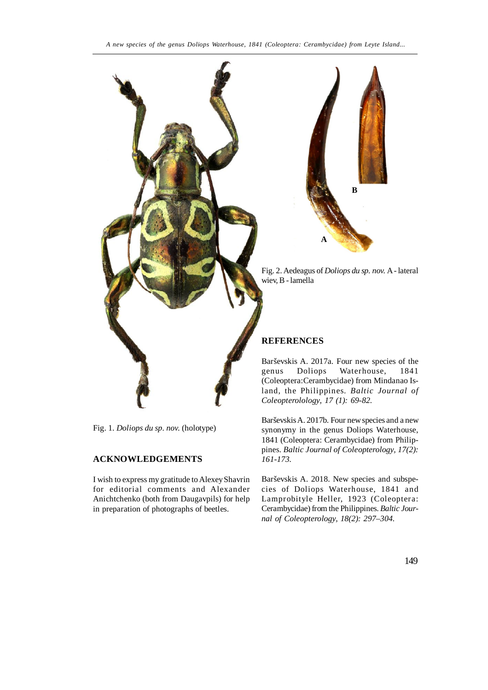

Fig. 1. *Doliops du sp. nov.* (holotype)

# **ACKNOWLEDGEMENTS**

I wish to express my gratitude to Alexey Shavrin for editorial comments and Alexander Anichtchenko (both from Daugavpils) for help in preparation of photographs of beetles.

Barševskis A. 2017b. Four new species and a new synonymy in the genus Doliops Waterhouse, 1841 (Coleoptera: Cerambycidae) from Philippines. *Baltic Journal of Coleopterology, 17(2): 161-173.*

Barševskis A. 2018. New species and subspecies of Doliops Waterhouse, 1841 and Lamprobityle Heller, 1923 (Coleoptera: Cerambycidae) from the Philippines. *Baltic Journal of Coleopterology, 18(2): 297–304.*